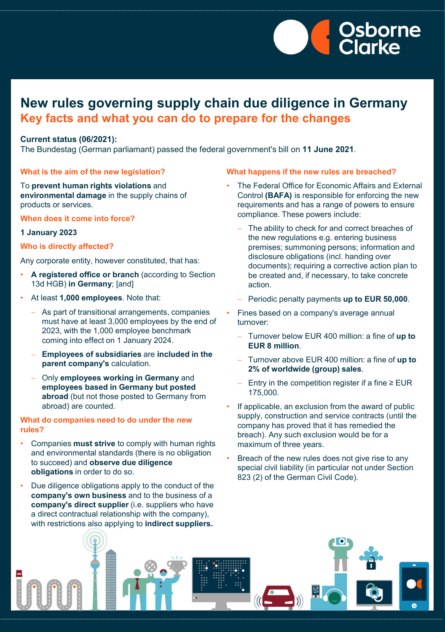

## **New rules governing supply chain due diligence in Germany Key facts and what you can do to prepare for the changes**

### **Current status (06/2021):**

The Bundestag (German parliamant) passed the federal government's bill on **11 June 2021**.

#### **What is the aim of the new legislation?**

To **prevent human rights violations** and **environmental damage** in the supply chains of products or services.

**When does it come into force?**

### **1 January 2023**

### **Who is directly affected?**

Any corporate entity, however constituted, that has:

- **A registered office or branch** (according to Section 13d HGB) **in Germany**; [and]
- At least **1,000 employees**. Note that:
	- As part of transitional arrangements, companies must have at least 3,000 employees by the end of 2023, with the 1,000 employee benchmark coming into effect on 1 January 2024.
	- − **Employees of subsidiaries** are **included in the parent company's** calculation.
	- − Only **employees working in Germany** and **employees based in Germany but posted abroad** (but not those posted to Germany from abroad) are counted.

### **What do companies need to do under the new rules?**

- Companies **must strive** to comply with human rights and environmental standards (there is no obligation to succeed) and **observe due diligence obligations** in order to do so.
- Due diligence obligations apply to the conduct of the **company's own business** and to the business of a **company's direct supplier** (i.e. suppliers who have a direct contractual relationship with the company), with restrictions also applying to **indirect suppliers.**

### **What happens if the new rules are breached?**

- The Federal Office for Economic Affairs and External Control **(BAFA)** is responsible for enforcing the new requirements and has a range of powers to ensure compliance. These powers include:
	- The ability to check for and correct breaches of the new regulations e.g. entering business premises; summoning persons; information and disclosure obligations (incl. handing over documents); requiring a corrective action plan to be created and, if necessary, to take concrete action.
	- − Periodic penalty payments **up to EUR 50,000**.
	- Fines based on a company's average annual turnover:
		- − Turnover below EUR 400 million: a fine of **up to EUR 8 million**.
		- − Turnover above EUR 400 million: a fine of **up to 2% of worldwide (group) sales**.
		- − Entry in the competition register if a fine ≥ EUR 175,000.
- If applicable, an exclusion from the award of public supply, construction and service contracts (until the company has proved that it has remedied the breach). Any such exclusion would be for a maximum of three years.
- Breach of the new rules does not give rise to any special civil liability (in particular not under Section 823 (2) of the German Civil Code).

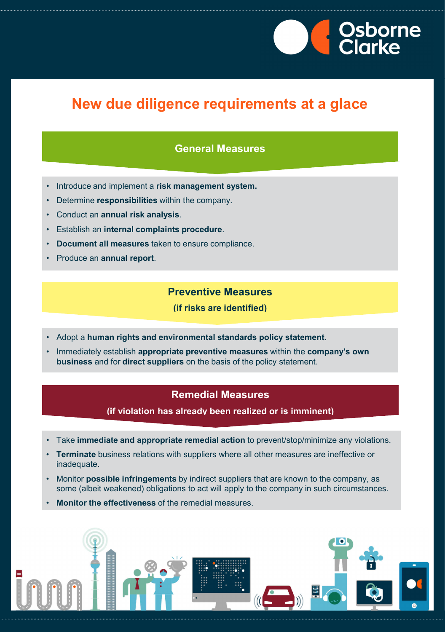

# **New due diligence requirements at a glace**

### **General Measures**

- Introduce and implement a **risk management system.**
- Determine **responsibilities** within the company.
- Conduct an **annual risk analysis**.
- Establish an **internal complaints procedure**.
- **Document all measures** taken to ensure compliance.
- Produce an **annual report**.

### **Preventive Measures**

**(if risks are identified)** 

- Adopt a **human rights and environmental standards policy statement**.
- Immediately establish **appropriate preventive measures** within the **company's own business** and for **direct suppliers** on the basis of the policy statement.

## **Remedial Measures**

**(if violation has already been realized or is imminent)**

- Take **immediate and appropriate remedial action** to prevent/stop/minimize any violations.
- **Terminate** business relations with suppliers where all other measures are ineffective or inadequate.
- Monitor **possible infringements** by indirect suppliers that are known to the company, as some (albeit weakened) obligations to act will apply to the company in such circumstances.
- **Monitor the effectiveness** of the remedial measures.